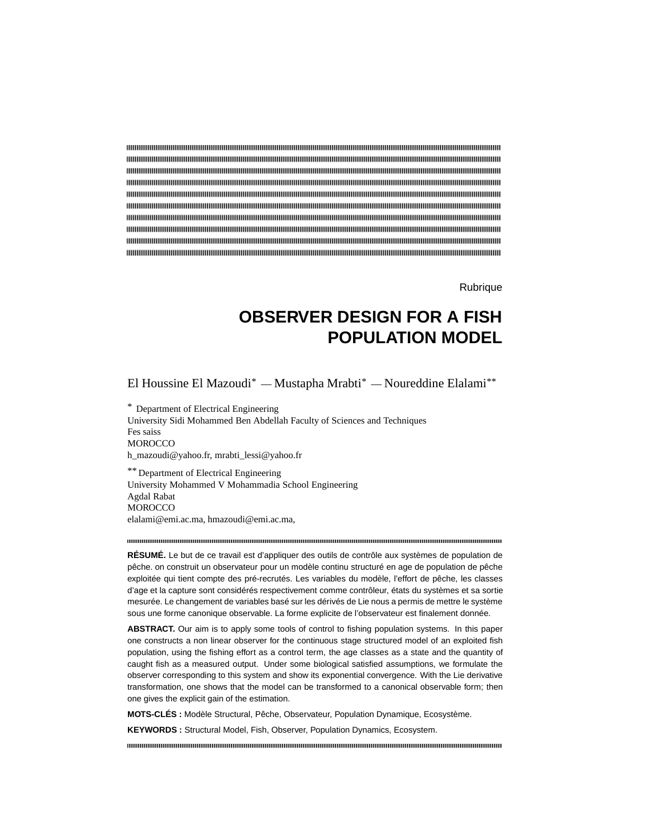**Rubrique** 

# **OBSERVER DESIGN FOR A FISH POPULATION MODEL**

El Houssine El Mazoudi\* — Mustapha Mrabti\* — Noureddine Elalami\*\*

\* Department of Electrical Engineering University Sidi Mohammed Ben Abdellah Faculty of Sciences and Techniques Fes saiss **MOROCCO** h\_mazoudi@yahoo.fr, mrabti\_lessi@yahoo.fr

\*\* Department of Electrical Engineering University Mohammed V Mohammadia School Engineering Agdal Rabat **MOROCCO** elalami@emi.ac.ma, hmazoudi@emi.ac.ma,

**RÉSUMÉ.** Le but de ce travail est d'appliquer des outils de contrôle aux systèmes de population de pêche. on construit un observateur pour un modèle continu structuré en age de population de pêche exploitée qui tient compte des pré-recrutés. Les variables du modèle, l'effort de pêche, les classes d'age et la capture sont considérés respectivement comme contrôleur, états du systèmes et sa sortie mesurée. Le changement de variables basé sur les dérivés de Lie nous a permis de mettre le système sous une forme canonique observable. La forme explicite de l'observateur est finalement donnée.

**ABSTRACT.** Our aim is to apply some tools of control to fishing population systems. In this paper one constructs a non linear observer for the continuous stage structured model of an exploited fish population, using the fishing effort as a control term, the age classes as a state and the quantity of caught fish as a measured output. Under some biological satisfied assumptions, we formulate the observer corresponding to this system and show its exponential convergence. With the Lie derivative transformation, one shows that the model can be transformed to a canonical observable form; then one gives the explicit gain of the estimation.

**MOTS-CLÉS :** Modèle Structural, Pêche, Observateur, Population Dynamique, Ecosystème.

**KEYWORDS :** Structural Model, Fish, Observer, Population Dynamics, Ecosystem.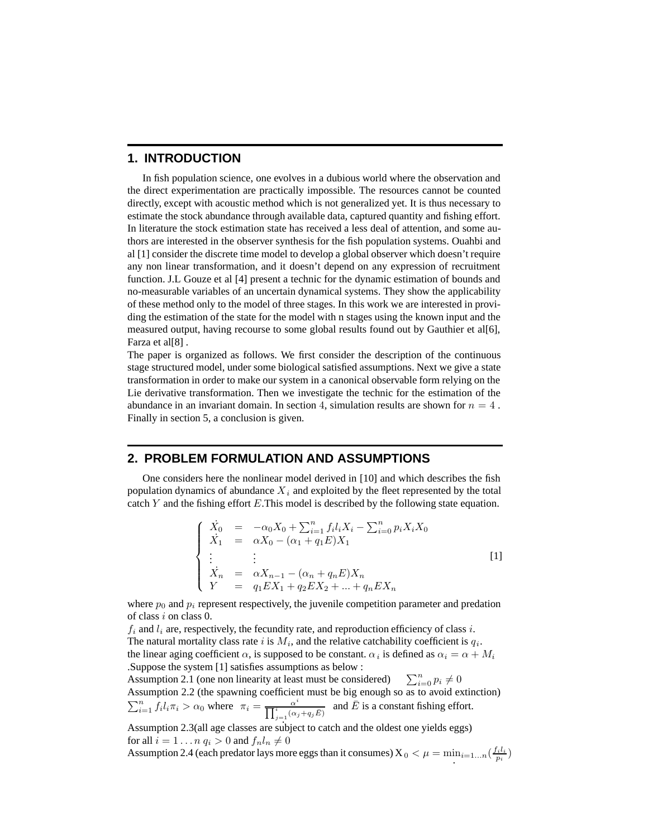# **1. INTRODUCTION**

In fish population science, one evolves in a dubious world where the observation and the direct experimentation are practically impossible. The resources cannot be counted directly, except with acoustic method which is not generalized yet. It is thus necessary to estimate the stock abundance through available data, captured quantity and fishing effort. In literature the stock estimation state has received a less deal of attention, and some authors are interested in the observer synthesis for the fish population systems. Ouahbi and al [1] consider the discrete time model to develop a global observer which doesn't require any non linear transformation, and it doesn't depend on any expression of recruitment function. J.L Gouze et al [4] present a technic for the dynamic estimation of bounds and no-measurable variables of an uncertain dynamical systems. They show the applicability of these method only to the model of three stages. In this work we are interested in providing the estimation of the state for the model with n stages using the known input and the measured output, having recourse to some global results found out by Gauthier et al[6], Farza et al[8] .

The paper is organized as follows. We first consider the description of the continuous stage structured model, under some biological satisfied assumptions. Next we give a state transformation in order to make our system in a canonical observable form relying on the Lie derivative transformation. Then we investigate the technic for the estimation of the abundance in an invariant domain. In section 4, simulation results are shown for  $n = 4$ . Finally in section 5, a conclusion is given.

## **2. PROBLEM FORMULATION AND ASSUMPTIONS**

One considers here the nonlinear model derived in [10] and which describes the fish population dynamics of abundance  $X_i$  and exploited by the fleet represented by the total catch Y and the fishing effort E.This model is described by the following state equation.

$$
\begin{cases}\n\dot{X}_0 = -\alpha_0 X_0 + \sum_{i=1}^n f_i l_i X_i - \sum_{i=0}^n p_i X_i X_0 \\
\dot{X}_1 = \alpha X_0 - (\alpha_1 + q_1 E) X_1 \\
\vdots \\
\dot{X}_n = \alpha X_{n-1} - (\alpha_n + q_n E) X_n \\
Y = q_1 E X_1 + q_2 E X_2 + \dots + q_n E X_n\n\end{cases}
$$
\n[1]

where  $p_0$  and  $p_i$  represent respectively, the juvenile competition parameter and predation of class i on class 0.

 $f_i$  and  $l_i$  are, respectively, the fecundity rate, and reproduction efficiency of class i. The natural mortality class rate i is  $M_i$ , and the relative catchability coefficient is  $q_i$ . the linear aging coefficient  $\alpha$ , is supposed to be constant.  $\alpha_i$  is defined as  $\alpha_i = \alpha + M_i$ .Suppose the system [1] satisfies assumptions as below :

Assumption 2.1 (one non linearity at least must be considered)  $\sum_{i=0}^{n} p_i \neq 0$ Assumption 2.2 (the spawning coefficient must be big enough so as to avoid extinction)  $\sum_{i=1}^{n} f_i l_i \pi_i > \alpha_0$  where  $\pi_i = \frac{\alpha^i}{\prod_{j=1}^{i} (\alpha_j + q_j \bar{E})}$ and  $\overline{E}$  is a constant fishing effort.

Assumption 2.3(all age classes are subject to catch and the oldest one yields eggs) for all  $i = 1 \ldots n$   $q_i > 0$  and  $f_n l_n \neq 0$ 

Assumption 2.4 (each predator lays more eggs than it consumes)  $X_0 < \mu = \min_{i=1...n}(\frac{f_i l_i}{p_i})$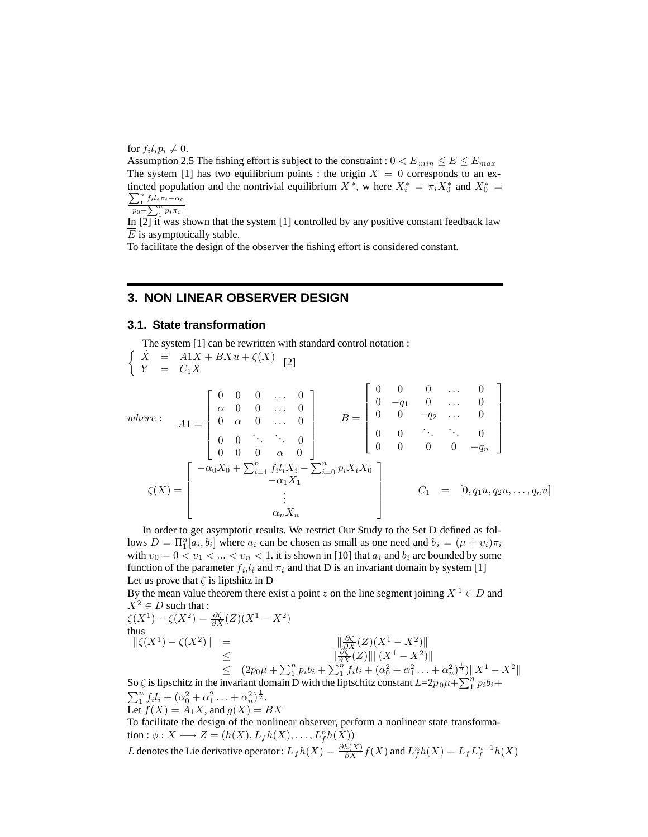for  $f_i l_i p_i \neq 0$ .

Assumption 2.5 The fishing effort is subject to the constraint :  $0 < E_{min} \le E \le E_{max}$ The system [1] has two equilibrium points : the origin  $X = 0$  corresponds to an extincted population and the nontrivial equilibrium  $X^*$ , w here  $X_i^* = \pi_i X_0^*$  and  $X_0^* = \sum_{i=1}^n K_i x_i - \alpha_i$  $\sum_{1}^{n} f_i l_i \pi_i - \alpha_0$ 

 $p_0 + \sum_{i=1}^{n} p_i \pi_i$ 

In  $[2]$  it was shown that the system  $[1]$  controlled by any positive constant feedback law  $\overline{E}$  is asymptotically stable.

To facilitate the design of the observer the fishing effort is considered constant.

# **3. NON LINEAR OBSERVER DESIGN**

## **3.1. State transformation**

The system [1] can be rewritten with standard control notation :  $\int \dot{X} = A1X + BXu + \zeta(X)$  $Y = C_1 X$  [2] where :  $A1 =$  $\overline{1}$  $\begin{array}{c} \begin{array}{c} \begin{array}{c} \end{array} \end{array} \end{array}$  $0 \quad 0 \quad 0 \quad \dots \quad 0$  $\alpha$  0 0 ... 0  $0 \quad \alpha \quad 0 \quad \dots \quad 0$  $0 \quad 0 \quad \therefore \quad 0$  $0 \quad 0 \quad \alpha \quad 0$ Ĭ.  $B =$  $\overline{1}$   $0 \quad 0 \quad 0 \quad \dots \quad 0$  $0 \t -q_1 \t 0 \t \ldots \t 0$ 0  $0 \t -q_2 \t \ldots \t 0$  $0 \quad 0 \quad \therefore \quad \therefore \quad 0$ 0 0 0  $- q_n$ Ĭ.  $\zeta(X) =$  $\overline{1}$   $-\alpha_0 X_0 + \sum_{i=1}^n f_i l_i X_i - \sum_{i=0}^n p_i X_i X_0$ <br>- $\alpha_1 X_1$ <br>:  $\alpha_n X_n$ Ī.  $C_1 = [0, q_1u, q_2u, \ldots, q_nu]$ 

In order to get asymptotic results. We restrict Our Study to the Set D defined as follows  $D = \Pi_1^n [a_i, b_i]$  where  $a_i$  can be chosen as small as one need and  $b_i = (\mu + v_i)\pi_i$ with  $v_0 = 0 < v_1 < ... < v_n < 1$ . it is shown in [10] that  $a_i$  and  $b_i$  are bounded by some function of the parameter  $f_i, l_i$  and  $\pi_i$  and that D is an invariant domain by system [1] Let us prove that  $\zeta$  is liptshitz in D

By the mean value theorem there exist a point z on the line segment joining  $X^1 \in D$  and  $X^2 \in D$  such that :  $X^2 \in D$  such that :  $\zeta(X^1) - \zeta(X^2) = \frac{\partial \zeta}{\partial X}(Z)(X^1 - X^2)$ <br>thus

$$
\begin{array}{c}\n\left( 2x \right) \\
\text{thus}\n\end{array}
$$

 $\|\zeta(X^1) - \zeta(X^2)\|$  =  $\|\frac{\partial \zeta}{\partial X}(Z)(X^1 - X^2)\|$ <br> $\|\frac{\partial \zeta}{\partial X}(Z)\|$  =  $\zeta(Z)\|$  $\leq$   $\|\frac{\partial \widetilde{\zeta}(Z)}{\partial X}(Z)\| \|(X^1 - X^2)\|$ <br>  $\leq$   $(2\pi u + \sum_{k=1}^n b_{k} + \sum_{k=1}^n f_{k}l + (a^2 + a^2))$  $\leq (2p_0\mu + \sum_{i=1}^n p_i b_i + \sum_{i=1}^n f_i l_i + (\alpha_0^2 + \alpha_1^2 + \dots + \alpha_n^2)^{\frac{1}{2}}) \|X^1 - X^2\|$ 

So  $\zeta$  is lipschitz in the invariant domain D with the liptschitz constant  $L=2p_0\mu+\sum_{i=1}^n p_ib_i+\sum_{i=1}^n p_i\mu+i\sum_{i=1}^n p_i\mu+i\sum_{i=1}^n p_i\mu+i\sum_{i=1}^n p_i\mu+i\sum_{i=1}^n p_i\mu+i\sum_{i=1}^n p_i\mu+i\sum_{i=1}^n p_i\mu+i\sum_{i=1}^n p_i\mu+i\sum_{i=1}^n p_i$  $\sum_{1}^{n} f_i l_i + (\alpha_0^2 + \alpha_1^2 + \dots + \alpha_n^2)^{\frac{1}{2}}.$ <br>Let  $f(X) = A_1 X$  and  $g(X) = \frac{1}{2}$ 

Let 
$$
f(X) = A_1 X
$$
, and  $g(X) = BX$ 

To facilitate the design of the nonlinear observer, perform a nonlinear state transformation :  $\phi: X \longrightarrow Z = (h(X), L_f h(X), \dots, L_f^n h(X))$ 

L denotes the Lie derivative operator :  $L_f h(X) = \frac{\partial h(X)}{\partial X} f(X)$  and  $L_f^n h(X) = L_f L_f^{n-1} h(X)$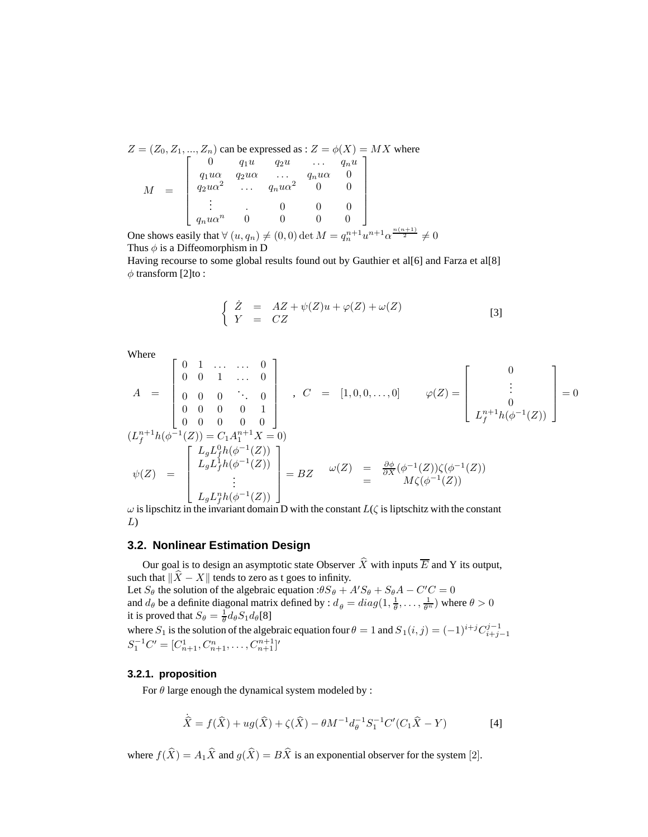$Z=(Z_0,Z_1,...,Z_n)$  can be expressed as :  $Z=\phi(X)=MX$  where  $M =$  $\overline{1}$   $\begin{array}{ccccccccc}\n0 & q_1u & q_2u & \dots & q_nu\n\end{array}$  $q_1u\alpha$   $q_2u\alpha$  ...  $q_nu\alpha$  0  $\begin{array}{cccc} q_2 u \alpha^2 & \ldots & q_n u \alpha^2 & 0 & 0 \ \vdots & \ldots & 0 & 0 & 0 \end{array}$  $q_nu\alpha^n$  0 0 0 0 Ī.  $\begin{array}{c} \begin{array}{c} \begin{array}{c} \begin{array}{c} \end{array} \end{array} \\ \begin{array}{c} \end{array} \end{array} \end{array} \end{array}$ 

One shows easily that  $\forall (u, q_n) \neq (0, 0) \det M = q_n^{n+1} u^{n+1} \alpha^{\frac{n(n+1)}{2}} \neq 0$ <br>Thus  $\land$  is a Diffeomorphism in D Thus  $\phi$  is a Diffeomorphism in D

Having recourse to some global results found out by Gauthier et al[6] and Farza et al[8]  $\phi$  transform [2]to :

$$
\begin{cases}\n\dot{Z} = AZ + \psi(Z)u + \varphi(Z) + \omega(Z) \\
Y = CZ\n\end{cases}
$$
\n[3]

Where

$$
A = \begin{bmatrix} 0 & 1 & \dots & \dots & 0 \\ 0 & 0 & 1 & \dots & 0 \\ 0 & 0 & 0 & \ddots & 0 \\ 0 & 0 & 0 & 0 & 1 \\ 0 & 0 & 0 & 0 & 0 \end{bmatrix}, C = [1, 0, 0, \dots, 0] \qquad \varphi(Z) = \begin{bmatrix} 0 \\ \vdots \\ 0 \\ L_p^{n+1}h(\phi^{-1}(Z)) \\ L_f^{n+1}h(\phi^{-1}(Z)) \end{bmatrix} = 0
$$
  
\n
$$
\psi(Z) = \begin{bmatrix} L_g L_f^0 h(\phi^{-1}(Z)) \\ L_g L_f^1 h(\phi^{-1}(Z)) \\ \vdots \\ L_g L_f^n h(\phi^{-1}(Z)) \end{bmatrix} = BZ \qquad \omega(Z) = \frac{\partial \phi}{\partial X} (\phi^{-1}(Z)) \zeta(\phi^{-1}(Z))
$$
  
\n
$$
\omega
$$
 is lipschitz in the invariant domain D with the constant  $L(\zeta)$  is lipschitz with the constant

L)

## **3.2. Nonlinear Estimation Design**

Our goal is to design an asymptotic state Observer  $\hat{X}$  with inputs  $\overline{E}$  and Y its output, such that  $\|\widehat{X} - X\|$  tends to zero as t goes to infinity. Let  $S_{\theta}$  the solution of the algebraic equation : $\theta S_{\theta} + A' S_{\theta} + S_{\theta} A - C' C = 0$ and  $d_{\theta}$  be a definite diagonal matrix defined by :  $d_{\theta} = diag(1, \frac{1}{\theta}, \dots, \frac{1}{\theta^n})$  where  $\theta > 0$ <br>it is proved that  $S_{\theta} = \frac{1}{2} d_{\theta} S_{\theta} d_{\theta}[\Omega]$  $\frac{1}{\theta}, \ldots, \frac{1}{\theta^{r}}$ it is proved that  $S_{\theta} = \frac{1}{\theta} d_{\theta} S_1 d_{\theta}$ [8] where  $S_1$  is the solution of the algebraic equation four  $\theta = 1$  and  $S_1(i, j) = (-1)^{i+j}C_{i+j-1}^{j-1}$ <br> $S_1^{-1}C' = [C_{n+1}^1, C_{n+1}^n, \dots, C_{n+1}^{n+1}]'$ 

#### **3.2.1. proposition**

For  $\theta$  large enough the dynamical system modeled by :

$$
\dot{\widehat{X}} = f(\widehat{X}) + ug(\widehat{X}) + \zeta(\widehat{X}) - \theta M^{-1} d_{\theta}^{-1} S_1^{-1} C' (C_1 \widehat{X} - Y) \tag{4}
$$

where  $f(\hat{X}) = A_1\hat{X}$  and  $g(\hat{X}) = B\hat{X}$  is an exponential observer for the system [2].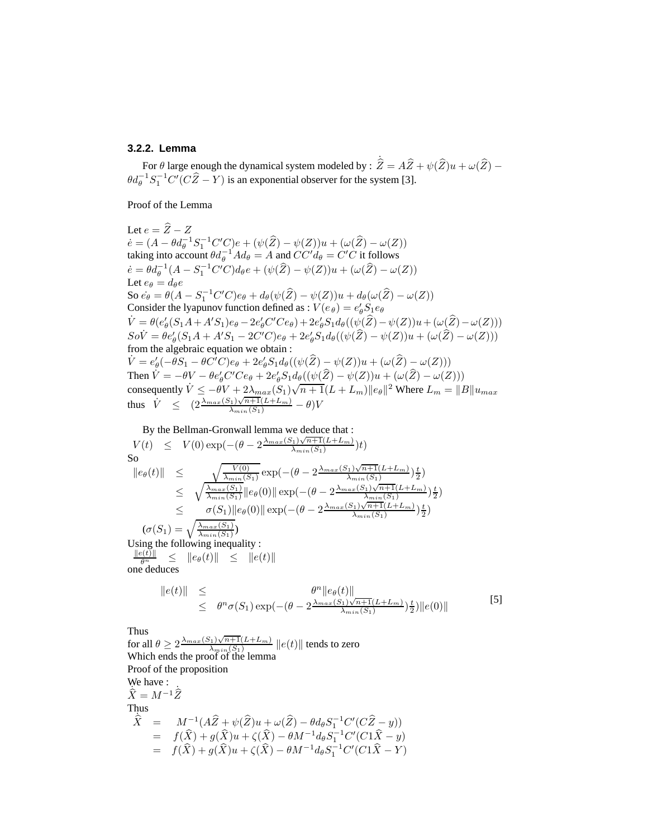## **3.2.2. Lemma**

For  $\theta$  large enough the dynamical system modeled by :  $\hat{Z} = A\hat{Z} + \psi(\hat{Z})u + \omega(\hat{Z}) - \psi(\hat{Z})d$  $\theta d_{\theta}^{-1} S_1^{-1} C' (C \hat{Z} - Y)$  is an exponential observer for the system [3].

Proof of the Lemma

Let  $e = \hat{Z} - Z$  $\dot{e} = (A - \theta d_{\theta}^{-1} S_1^{-1} C'C)e + (\psi(\hat{Z}) - \psi(Z))u + (\omega(\hat{Z}) - \omega(Z))$ <br>taking into account  $\theta d^{-1} A d_{\theta} = A$  and  $CC'd_{\theta} = C'C$  it follows taking into account  $\theta d_{\theta}^{-1} A d_{\theta} = A$  and  $CC' d_{\theta} = C'C$  it follows  $\dot{e} = \theta d_{\theta}^{-1}(A - S_1^{-1}C'C)d_{\theta}e + (\psi(\hat{Z}) - \psi(Z))u + (\omega(\hat{Z}) - \omega(Z))$ Let  $e_{\theta} = d_{\theta}e$ <br>Se si 0(4) So  $\vec{e}_{\theta} = \theta(A - S_1^{-1}C'C)e_{\theta} + d_{\theta}(\psi(\hat{Z}) - \psi(Z))u + d_{\theta}(\omega(\hat{Z}) - \omega(Z))$ Consider the lyapunov function defined as :  $V(e_{\theta}) = e_{\theta}' S_1 e_{\theta}$  $\dot{V} = \theta(e'_{\theta}(S_1A + A'S_1)e_{\theta} - 2e'_{\theta}C'Ce_{\theta}) + 2e'_{\theta}S_1d_{\theta}((\psi(\hat{Z}) - \psi(Z))u + (\omega(\hat{Z}) - \omega(Z)))$ <br>  $So\dot{V} = \theta e'_{\theta}(S_1A + A'S_1 - 2C'C)e_{\theta} + 2e'_{\theta}S_1d_{\theta}((\psi(\hat{Z}) - \psi(Z))u + (\omega(\hat{Z}) - \omega(Z)))$ <br>
from the algebraic equation we obtain: from the algebraic equation we obtain :  $\dot{V} = e_{\theta}'(-\theta S_1 - \theta C'C)e_{\theta} + 2e_{\theta}'S_1d_{\theta}((\psi(\widehat{Z}) - \psi(Z))u + (\omega(\widehat{Z}) - \omega(Z)))$ Then  $V = -\theta V - \theta e'_\theta$  $\begin{array}{l} {}_{\theta}^{'} C' C e_{\theta} + 2e_{\theta}^{\prime} S_1 d_{\theta} ((\psi(\widehat{Z}) - \psi(Z))u + (\omega(\widehat{Z}) - \omega(Z)))\\ {}_{\theta} V_{\theta} + 2 \lambda \qquad (S \setminus \widehat{S_1 + 1}(L + L)) \leq \|Z\| \end{array}$ consequently  $\dot{V} \leq -\theta V + 2\lambda_{max}(S_1)\sqrt{n+1}(L+L_m)\|e_\theta\|^2$  Where  $L_m = \|B\|u_{max}$ thus  $\overrightarrow{V} \leq (2 \frac{\lambda_{max}(S_1)\sqrt{n+1}(L+L_m)}{\lambda_{min}(S_1)} - \theta) V$ 

By the Bellman-Gronwall lemma we deduce that :  
\n
$$
V(t) \leq V(0) \exp(-(\theta - 2\frac{\lambda_{max}(S_1)\sqrt{n+1}(L+L_m)}{\lambda_{min}(S_1)})t)
$$
\nSo  
\n
$$
\|\e_{\theta}(t)\| \leq \sqrt{\frac{V(0)}{\lambda_{min}(S_1)}} \exp(-(\theta - 2\frac{\lambda_{max}(S_1)\sqrt{n+1}(L+L_m)}{\lambda_{min}(S_1)})\frac{t}{2})
$$
\n
$$
\leq \sqrt{\frac{\lambda_{max}(S_1)}{\lambda_{min}(S_1)}} \|\e_{\theta}(0)\| \exp(-(\theta - 2\frac{\lambda_{max}(S_1)\sqrt{n+1}(L+L_m)}{\lambda_{min}(S_1)})\frac{t}{2})
$$
\n
$$
\leq \sigma(S_1) \|\e_{\theta}(0)\| \exp(-(\theta - 2\frac{\lambda_{max}(S_1)\sqrt{n+1}(L+L_m)}{\lambda_{min}(S_1)})\frac{t}{2})
$$
\n
$$
(\sigma(S_1) = \sqrt{\frac{\lambda_{max}(S_1)}{\lambda_{min}(S_1)}})
$$
\nUsing the following inequality :  
\n
$$
\frac{\|\e_{t}\|}{\theta} \leq \|\e_{\theta}(t)\| \leq \|\e_{t}\|
$$
\none deduces  
\n
$$
\|\e_{t}\| \leq \theta^{n} \sigma(S_1) \exp(-(\theta - 2\frac{\lambda_{max}(S_1)\sqrt{n+1}(L+L_m)}{\lambda_{min}(S_1)})\frac{t}{2})\|e(0)\|
$$
\n
$$
\text{Thus}
$$
\nfor all  $\theta \geq 2 \frac{\lambda_{max}(S_1)\sqrt{n+1}(L+L_m)}{\lambda_{min}(S_1)} \|\e_{t}\|$  tends to zero  
\nWhich ends the proof of the lemma\nProof of the program\nProof of the proposition  
\n $\Re$  have :  
\n $\hat{X} = M^{-1}(\hat{A}\hat{Z} + \psi(\hat{Z})u + \omega(\hat{Z}) - \theta d_{\theta} S_{1}^{-1}C'(C\hat{Z} - y))$ \n
$$
= f(\hat{X}) + g(\hat{X})u + \zeta(\hat{X}) - \theta M^{-1} d_{\theta} S_{1}^{-1}C'(C1\hat{X} - y)
$$

=  $f(\hat{X}) + g(\hat{X})u + \zeta(\hat{X}) - \theta M^{-1}d_{\theta}S_1^{-1}C'(C1\hat{X} - Y)$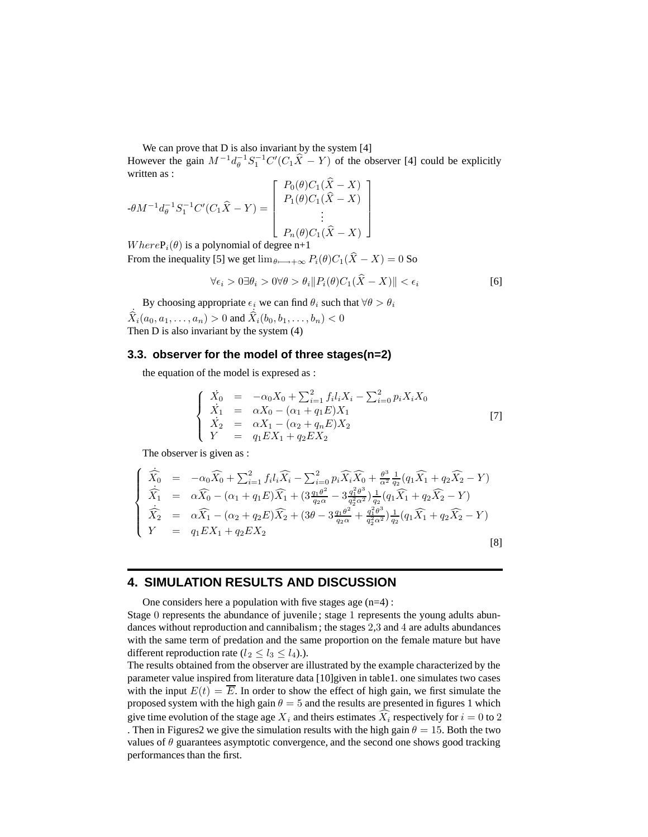We can prove that  $D$  is also invariant by the system  $[4]$ 

However the gain  $M^{-1}d_{\theta}^{-1}S_1^{-1}C'(C_1\hat{X} - Y)$  of the observer [4] could be explicitly written as written as :

$$
-\theta M^{-1} d_{\theta}^{-1} S_1^{-1} C' (C_1 \hat{X} - Y) = \begin{bmatrix} P_0(\theta) C_1(\hat{X} - X) \\ P_1(\theta) C_1(\hat{X} - X) \\ \vdots \\ P_n(\theta) C_1(\hat{X} - X) \end{bmatrix}
$$
  
When  $\theta$  (0) is a polynomial of degree  $n+1$ 

W here  $P_i(\theta)$  is a polynomial of degree n+1 From the inequality [5] we get  $\lim_{\theta \longmapsto \pm \infty} P_i(\theta) C_1(\hat{X} - X) = 0$  So

$$
\forall \epsilon_i > 0 \exists \theta_i > 0 \forall \theta > \theta_i \| P_i(\theta) C_1(\hat{X} - X) \| < \epsilon_i \tag{6}
$$

By choosing appropriate  $\epsilon_i$  we can find  $\theta_i$  such that  $\forall \theta > \theta_i$  $\dot{\hat{X}}_i(a_0, a_1, \dots, a_n) > 0$  and  $\hat{\hat{X}}_i(b_0, b_1, \dots, b_n) < 0$ <br>Then D is also invariant by the system (4)

## **3.3. observer for the model of three stages(n=2)**

the equation of the model is expresed as :

$$
\begin{cases}\n\dot{X}_0 = -\alpha_0 X_0 + \sum_{i=1}^2 f_i l_i X_i - \sum_{i=0}^2 p_i X_i X_0 \\
\dot{X}_1 = \alpha X_0 - (\alpha_1 + q_1 E) X_1 \\
\dot{X}_2 = \alpha X_1 - (\alpha_2 + q_n E) X_2 \\
Y = q_1 E X_1 + q_2 E X_2\n\end{cases}
$$
\n[7]

The observer is given as :

$$
\begin{cases}\n\dot{\widehat{X}}_{0} = -\alpha_{0}\widehat{X}_{0} + \sum_{i=1}^{2} f_{i}l_{i}\widehat{X}_{i} - \sum_{i=0}^{2} p_{i}\widehat{X}_{i}\widehat{X}_{0} + \frac{\theta^{3}}{\alpha^{2}}\frac{1}{q_{2}}(q_{1}\widehat{X}_{1} + q_{2}\widehat{X}_{2} - Y) \\
\dot{\widehat{X}}_{1} = \alpha\widehat{X}_{0} - (\alpha_{1} + q_{1}E)\widehat{X}_{1} + (3\frac{q_{1}\theta^{2}}{q_{2}\alpha} - 3\frac{q_{1}^{2}\theta^{3}}{q_{2}^{2}\alpha^{2}})\frac{1}{q_{2}}(q_{1}\widehat{X}_{1} + q_{2}\widehat{X}_{2} - Y) \\
\dot{\widehat{X}}_{2} = \alpha\widehat{X}_{1} - (\alpha_{2} + q_{2}E)\widehat{X}_{2} + (3\theta - 3\frac{q_{1}\theta^{2}}{q_{2}\alpha} + \frac{q_{1}^{2}\theta^{3}}{q_{2}^{2}\alpha^{2}})\frac{1}{q_{2}}(q_{1}\widehat{X}_{1} + q_{2}\widehat{X}_{2} - Y) \\
Y = q_{1}EX_{1} + q_{2}EX_{2}\n\end{cases}
$$
\n
$$
\begin{aligned}\n\text{(8)}\n\end{cases}
$$

# **4. SIMULATION RESULTS AND DISCUSSION**

One considers here a population with five stages age  $(n=4)$ :

Stage 0 represents the abundance of juvenile ; stage 1 represents the young adults abundances without reproduction and cannibalism ; the stages 2,3 and 4 are adults abundances with the same term of predation and the same proportion on the female mature but have different reproduction rate ( $l_2 \le l_3 \le l_4$ ).).

The results obtained from the observer are illustrated by the example characterized by the parameter value inspired from literature data [10]given in table1. one simulates two cases with the input  $E(t) = \overline{E}$ . In order to show the effect of high gain, we first simulate the proposed system with the high gain  $\theta = 5$  and the results are presented in figures 1 which give time evolution of the stage age  $X_i$  and theirs estimates  $\widehat{X}_i$  respectively for  $i = 0$  to 2<br>Then in Figures? we give the simulation results with the high gain  $\theta = 15$ . Both the two . Then in Figures2 we give the simulation results with the high gain  $\theta = 15$ . Both the two values of  $\theta$  guarantees asymptotic convergence, and the second one shows good tracking performances than the first.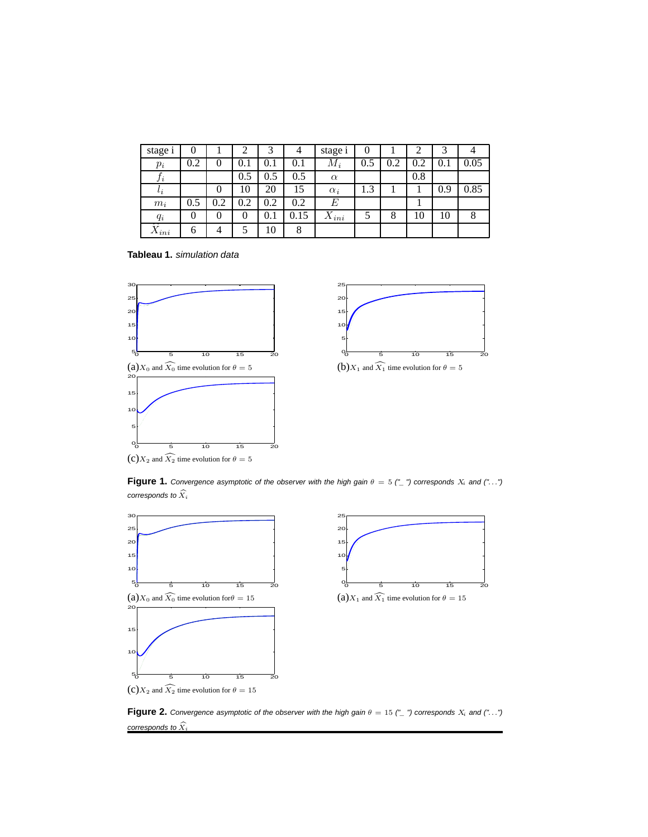| stage i         | v   |     | ◠   |         | 4       | stage i    | v   |     | ∠   |     |      |
|-----------------|-----|-----|-----|---------|---------|------------|-----|-----|-----|-----|------|
| $p_i$           | 0.2 | 0   | 0.1 | 0.1     | $0.1\,$ | $M_i$      | 0.5 | 0.2 | 0.2 | 0.1 | 0.05 |
| $J\,i$          |     |     | 0.5 | 0.5     | 0.5     | $\alpha$   |     |     | 0.8 |     |      |
| $\iota_i$       |     | 0   | 10  | 20      | 15      | $\alpha_i$ | 1.3 |     |     | 0.9 | 0.85 |
| $m_i$           | 0.5 | 0.2 | 0.2 | 0.2     | 0.2     | E          |     |     |     |     |      |
| $q_i$           | 0   |     | 0   | $0.1\,$ | 0.15    | $X_{ini}$  |     | 8   | 10  | 10  |      |
| $\Lambda_{ini}$ | O   | 4   |     | 10      | 8       |            |     |     |     |     |      |

**Tableau 1.** simulation data





**Figure 1.** Convergence asymptotic of the observer with the high gain  $\theta = 5$  ("\_") corresponds  $X_i$  and ("...")

corresponds to <sup>X</sup>*<sup>i</sup>*





**Figure 2.** Convergence asymptotic of the observer with the high gain  $\theta = 15$  ("\_") corresponds  $X_i$  and ("...") corresponds to  $\widehat{X}_i$